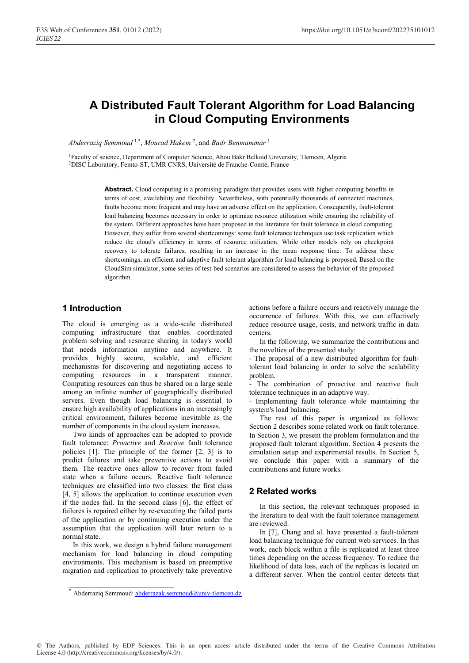# **A Distributed Fault Tolerant Algorithm for Load Balancing in Cloud Computing Environments**

*Abderraziq Semmoud* 1,\*, *Mourad Hakem* <sup>2</sup> , and *Badr Benmammar* <sup>1</sup>

1Faculty of science, Department of Computer Science, Abou Bakr Belkaid University, Tlemcen, Algeria 2DISC Laboratory, Femto-ST, UMR CNRS, Université de Franche-Comté, France

> Abstract. Cloud computing is a promising paradigm that provides users with higher computing benefits in terms of cost, availability and flexibility. Nevertheless, with potentially thousands of connected machines, faults become more frequent and may have an adverse effect on the application. Consequently, fault-tolerant load balancing becomes necessary in order to optimize resource utilization while ensuring the reliability of the system. Different approaches have been proposed in the literature for fault tolerance in cloud computing. However, they suffer from several shortcomings: some fault tolerance techniques use task replication which reduce the cloud's efficiency in terms of resource utilization. While other models rely on checkpoint recovery to tolerate failures, resulting in an increase in the mean response time. To address these shortcomings, an efficient and adaptive fault tolerant algorithm for load balancing is proposed. Based on the CloudSim simulator, some series of test-bed scenarios are considered to assess the behavior of the proposed algorithm.

### **1 Introduction**

The cloud is emerging as a wide-scale distributed computing infrastructure that enables coordinated problem solving and resource sharing in today's world that needs information anytime and anywhere. It provides highly secure, scalable, and efficient mechanisms for discovering and negotiating access to computing resources in a transparent manner. Computing resources can thus be shared on a large scale among an infinite number of geographically distributed servers. Even though load balancing is essential to ensure high availability of applications in an increasingly critical environment, failures become inevitable as the number of components in the cloud system increases.

Two kinds of approaches can be adopted to provide fault tolerance: *Proactive* and *Reactive* fault tolerance policies [1]. The principle of the former [2, 3] is to predict failures and take preventive actions to avoid them. The reactive ones allow to recover from failed state when a failure occurs. Reactive fault tolerance techniques are classified into two classes: the first class [4, 5] allows the application to continue execution even if the nodes fail. In the second class [6], the effect of failures is repaired either by re-executing the failed parts of the application or by continuing execution under the assumption that the application will later return to a normal state.

In this work, we design a hybrid failure management mechanism for load balancing in cloud computing environments. This mechanism is based on preemptive migration and replication to proactively take preventive actions before a failure occurs and reactively manage the occurrence of failures. With this, we can effectively reduce resource usage, costs, and network traffic in data centers.

In the following, we summarize the contributions and the novelties of the presented study:

- The proposal of a new distributed algorithm for faulttolerant load balancing in order to solve the scalability problem.

The combination of proactive and reactive fault tolerance techniques in an adaptive way.

- Implementing fault tolerance while maintaining the system's load balancing.

The rest of this paper is organized as follows: Section 2 describes some related work on fault tolerance. In Section 3, we present the problem formulation and the proposed fault tolerant algorithm. Section 4 presents the simulation setup and experimental results. In Section 5, we conclude this paper with a summary of the contributions and future works.

## **2 Related works**

In this section, the relevant techniques proposed in the literature to deal with the fault tolerance management are reviewed.

In [7], Chang and al. have presented a fault-tolerant load balancing technique for current web services. In this work, each block within a file is replicated at least three times depending on the access frequency. To reduce the likelihood of data loss, each of the replicas is located on a different server. When the control center detects that

© The Authors, published by EDP Sciences. This is an open access article distributed under the terms of the Creative Commons Attribution License 4.0 (http://creativecommons.org/licenses/by/4.0/).

<sup>\*</sup> Abderraziq Semmoud: abderrazak.semmoud@univ-tlemcen.dz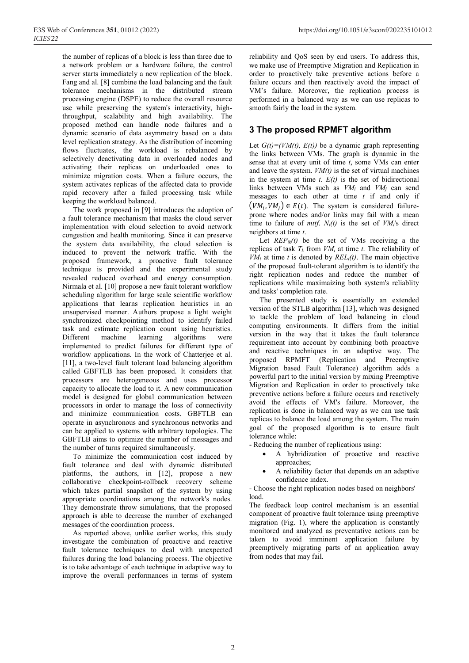the number of replicas of a block is less than three due to a network problem or a hardware failure, the control server starts immediately a new replication of the block. Fang and al. [8] combine the load balancing and the fault tolerance mechanisms in the distributed stream processing engine (DSPE) to reduce the overall resource use while preserving the system's interactivity, highthroughput, scalability and high availability. The proposed method can handle node failures and a dynamic scenario of data asymmetry based on a data level replication strategy. As the distribution of incoming flows fluctuates, the workload is rebalanced by selectively deactivating data in overloaded nodes and activating their replicas on underloaded ones to minimize migration costs. When a failure occurs, the system activates replicas of the affected data to provide rapid recovery after a failed processing task while keeping the workload balanced.

The work proposed in [9] introduces the adoption of a fault tolerance mechanism that masks the cloud server implementation with cloud selection to avoid network congestion and health monitoring. Since it can preserve the system data availability, the cloud selection is induced to prevent the network traffic. With the proposed framework, a proactive fault tolerance technique is provided and the experimental study revealed reduced overhead and energy consumption. Nirmala et al. [10] propose a new fault tolerant workflow scheduling algorithm for large scale scientific workflow applications that learns replication heuristics in an unsupervised manner. Authors propose a light weight synchronized checkpointing method to identify failed task and estimate replication count using heuristics. Different machine learning algorithms were implemented to predict failures for different type of workflow applications. In the work of Chatterjee et al. [11], a two-level fault tolerant load balancing algorithm called GBFTLB has been proposed. It considers that processors are heterogeneous and uses processor capacity to allocate the load to it. A new communication model is designed for global communication between processors in order to manage the loss of connectivity and minimize communication costs. GBFTLB can operate in asynchronous and synchronous networks and can be applied to systems with arbitrary topologies. The GBFTLB aims to optimize the number of messages and the number of turns required simultaneously.

To minimize the communication cost induced by fault tolerance and deal with dynamic distributed platforms, the authors, in [12], propose a new collaborative checkpoint-rollback recovery scheme which takes partial snapshot of the system by using appropriate coordinations among the network's nodes. They demonstrate throw simulations, that the proposed approach is able to decrease the number of exchanged messages of the coordination process.

As reported above, unlike earlier works, this study investigate the combination of proactive and reactive fault tolerance techniques to deal with unexpected failures during the load balancing process. The objective is to take advantage of each technique in adaptive way to improve the overall performances in terms of system reliability and QoS seen by end users. To address this, we make use of Preemptive Migration and Replication in order to proactively take preventive actions before a failure occurs and then reactively avoid the impact of VM's failure. Moreover, the replication process is performed in a balanced way as we can use replicas to smooth fairly the load in the system.

# **3 The proposed RPMFT algorithm**

Let  $G(t) = (VM(t), E(t))$  be a dynamic graph representing the links between VMs. The graph is dynamic in the sense that at every unit of time *t*, some VMs can enter and leave the system. *VM(t)* is the set of virtual machines in the system at time  $t$ .  $E(t)$  is the set of bidirectional links between VMs such as *VMi* and *VMj* can send messages to each other at time *t* if and only if  $(VM_i, VM_i) \in E(t)$ . The system is considered failureprone where nodes and/or links may fail with a mean time to failure of *mttf.*  $N_i(t)$  is the set of  $VM_i$ 's direct neighbors at time *t*.

Let  $REP_{ik}(t)$  be the set of VMs receiving a the replicas of task  $T_k$  from  $VM_i$  at time *t*. The reliability of  $VM_i$  at time *t* is denoted by  $REL_i(t)$ . The main objective of the proposed fault-tolerant algorithm is to identify the right replication nodes and reduce the number of replications while maximaizing both system's reliablity and tasks' completion rate.

The presented study is essentially an extended version of the STLB algorithm [13], which was designed to tackle the problem of load balancing in cloud computing environments. It differs from the initial version in the way that it takes the fault tolerance requirement into account by combining both proactive and reactive techniques in an adaptive way. The proposed RPMFT (Replication and Preemptive Migration based Fault Tolerance) algorithm adds a powerful part to the initial version by mixing Preemptive Migration and Replication in order to proactively take preventive actions before a failure occurs and reactively avoid the effects of VM's failure. Moreover, the replication is done in balanced way as we can use task replicas to balance the load among the system. The main goal of the proposed algorithm is to ensure fault tolerance while:

- Reducing the number of replications using:

- A hybridization of proactive and reactive approaches:
- A reliability factor that depends on an adaptive confidence index.

- Choose the right replication nodes based on neighbors' load.

The feedback loop control mechanism is an essential component of proactive fault tolerance using preemptive migration (Fig. 1), where the application is constantly monitored and analyzed as preventative actions can be taken to avoid imminent application failure by preemptively migrating parts of an application away from nodes that may fail.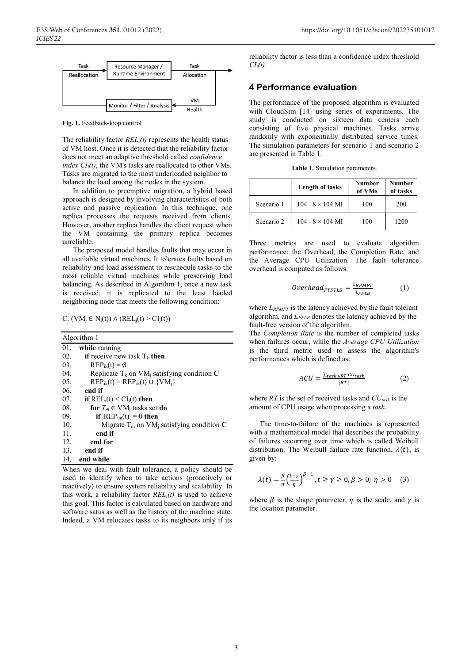

**Fig. 1.** Feedback-loop control

The reliability factor *RELi(t)* represents the health status of VM host. Once it is detected that the reliability factor does not meet an adaptive threshold called *confidence index*  $CI_i(t)$ , the VM's tasks are reallocated to other VMs. Tasks are migrated to the most underloaded neighbor to balance the load among the nodes in the system.

In addition to preemptive migration, a hybrid based approach is designed by involving characteristics of both active and passive replication. In this technique, one replica processes the requests received from clients. However, another replica handles the client request when the VM containing the primary replica becomes unreliable.

The proposed model handles faults that may occur in all available virtual machines. It tolerates faults based on reliability and load assessment to reschedule tasks to the most reliable virtual machines while preserving load balancing. As described in Algorithm 1, once a new task is received, it is replicated to the least loaded neighboring node that meets the following condition:

C:  $(VM_i \in N_i(t)) \wedge (REL_i(t) > CI_i(t))$ 

| Algorithm 1      |                                                           |  |  |
|------------------|-----------------------------------------------------------|--|--|
| 01.              | while running                                             |  |  |
| 02.              | if receive new task $T_k$ then                            |  |  |
| 03.              | $\text{REP}_{ik}(t) = \emptyset$                          |  |  |
| 04.              | Replicate $T_k$ on VM <sub>i</sub> satisfying condition C |  |  |
| 0.5 <sub>1</sub> | $\text{REP}_{ik}(t) = \text{REP}_{ik}(t) \cup \{VM_i\}$   |  |  |
| 06.              | end if                                                    |  |  |
| 07.              | if $REL_i(t) \leq CI_i(t)$ then                           |  |  |
| 08.              | for $T_m \in VM_i$ tasks set do                           |  |  |
| 09.              | if $ REF_{im}(t) =0$ then                                 |  |  |
| 10.              | Migrate $T_m$ on VM <sub>i</sub> satisfying condition C   |  |  |
| 11.              | end if                                                    |  |  |
| 12.              | end for                                                   |  |  |
| 13.              | end if                                                    |  |  |
| 14.              | end while                                                 |  |  |

When we deal with fault tolerance, a policy should be used to identify when to take actions (proactively or reactively) to ensure system reliability and scalability. In this work, a reliability factor  $REL<sub>i</sub>(t)$  is used to achieve this goal. This factor is calculated based on hardware and software satus as well as the history of the machine state. Indeed, a VM relocates tasks to its neighbors only if its reliability factor is less than a confidence index threshold *CIi(t)*.

#### **4 Performance evaluation**

The performance of the proposed algorithm is evaluated with CloudSim [14] using series of experiments. The study is conducted on sixteen data centers each consisting of five physical machines. Tasks arrive randomly with exponentially distributed service times. The simulation parameters for scenario 1 and scenario 2 are presented in Table 1.

**Table 1.** Simulation parameters.

|            | <b>Length of tasks</b>  | Number<br>of VMs | <b>Number</b><br>of tasks |
|------------|-------------------------|------------------|---------------------------|
| Scenario 1 | $104 - 8 \times 104$ MI | 100              | 200                       |
| Scenario 2 | $104 - 8 \times 104$ MI | 100              | 1200                      |

Three metrics are used to evaluate algorithm performance: the Overhead, the Completion Rate, and the Average CPU Utilization. The fault tolerance overhead is computed as follows:

$$
Overhead_{FTSTLB} = \frac{L_{RPMFT}}{L_{FFLB}} \tag{1}
$$

where  $L_{RPMFT}$  is the latency achieved by the fault tolerant algorithm, and *LFFLB* denotes the latency achieved by the fault-free version of the algorithm.

The *Completion Rate* is the number of completed tasks when failures occur, while the *Average CPU Utilization* is the third metric used to assess the algorithm's performances which is defined as:

$$
ACU = \frac{\sum_{task \in RT} CU_{task}}{|RT|}
$$
 (2)

where  $RT$  is the set of received tasks and  $CU_{task}$  is the amount of CPU usage when processing a *task*.

The time-to-failure of the machines is represented with a mathematical model that describes the probability of failures occurring over time which is called Weibull distribution. The Weibull failure rate function,  $\lambda(t)$ , is given by:

$$
\lambda(t) = \frac{\beta}{\eta} \left( \frac{t - \gamma}{\eta} \right)^{\beta - 1}, t \ge \gamma \ge 0, \beta > 0; \eta > 0 \quad (3)
$$

where  $\beta$  is the shape parameter,  $\eta$  is the scale, and  $\gamma$  is the location parameter.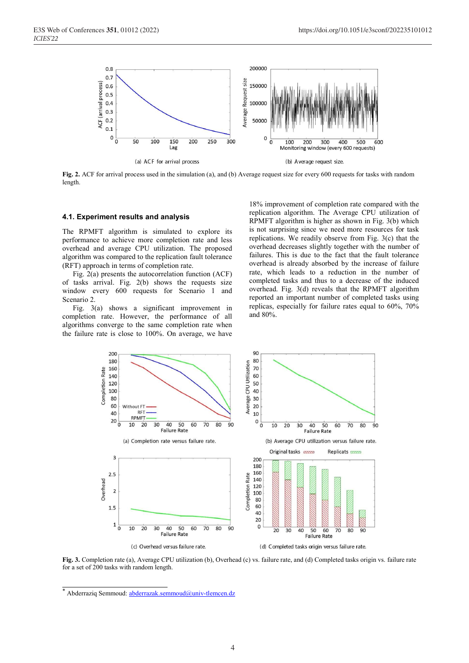

**Fig. 2.** ACF for arrival process used in the simulation (a), and (b) Average request size for every 600 requests for tasks with random length.

#### **4.1. Experiment results and analysis**

The RPMFT algorithm is simulated to explore its performance to achieve more completion rate and less overhead and average CPU utilization. The proposed algorithm was compared to the replication fault tolerance (RFT) approach in terms of completion rate.

Fig. 2(a) presents the autocorrelation function (ACF) of tasks arrival. Fig. 2(b) shows the requests size window every 600 requests for Scenario 1 and Scenario 2.

Fig. 3(a) shows a significant improvement in completion rate. However, the performance of all algorithms converge to the same completion rate when the failure rate is close to 100%. On average, we have

18% improvement of completion rate compared with the replication algorithm. The Average CPU utilization of RPMFT algorithm is higher as shown in Fig. 3(b) which is not surprising since we need more resources for task replications. We readily observe from Fig. 3(c) that the overhead decreases slightly together with the number of failures. This is due to the fact that the fault tolerance overhead is already absorbed by the increase of failure rate, which leads to a reduction in the number of completed tasks and thus to a decrease of the induced overhead. Fig. 3(d) reveals that the RPMFT algorithm reported an important number of completed tasks using replicas, especially for failure rates equal to 60%, 70% and 80%.



**Fig. 3.** Completion rate (a), Average CPU utilization (b), Overhead (c) vs. failure rate, and (d) Completed tasks origin vs. failure rate for a set of 200 tasks with random length.

<sup>\*</sup> Abderraziq Semmoud: abderrazak.semmoud@univ-tlemcen.dz